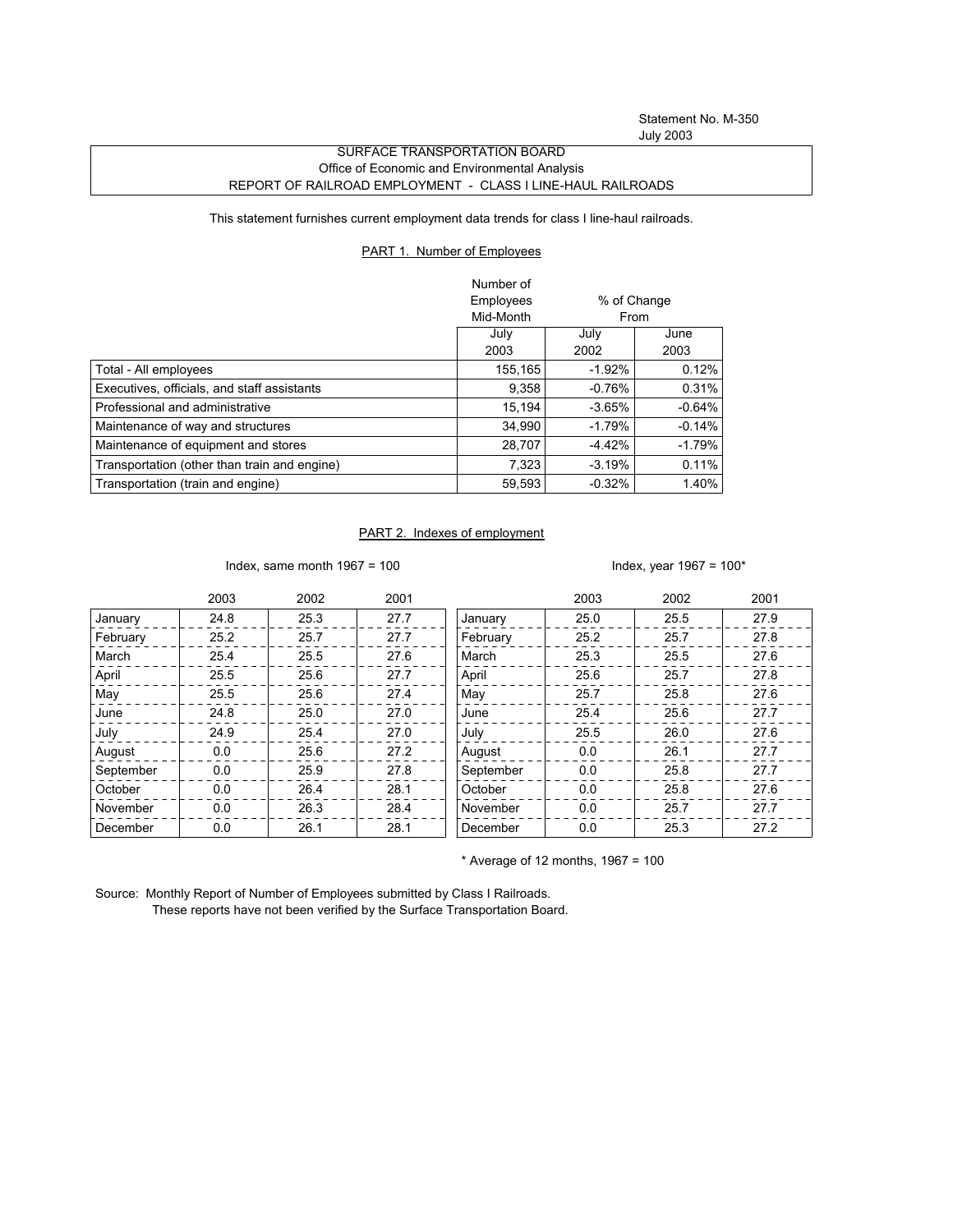Statement No. M-350 July 2003

## SURFACE TRANSPORTATION BOARD Office of Economic and Environmental Analysis REPORT OF RAILROAD EMPLOYMENT - CLASS I LINE-HAUL RAILROADS

This statement furnishes current employment data trends for class I line-haul railroads.

## PART 1. Number of Employees

|                                              | Number of |             |          |
|----------------------------------------------|-----------|-------------|----------|
|                                              | Employees | % of Change |          |
|                                              | Mid-Month |             | From     |
|                                              | July      | July        | June     |
|                                              | 2003      | 2002        | 2003     |
| Total - All employees                        | 155,165   | $-1.92%$    | 0.12%    |
| Executives, officials, and staff assistants  | 9,358     | $-0.76%$    | 0.31%    |
| Professional and administrative              | 15.194    | $-3.65\%$   | $-0.64%$ |
| Maintenance of way and structures            | 34.990    | $-1.79%$    | $-0.14%$ |
| Maintenance of equipment and stores          | 28,707    | $-4.42%$    | $-1.79%$ |
| Transportation (other than train and engine) | 7,323     | $-3.19%$    | 0.11%    |
| Transportation (train and engine)            | 59,593    | $-0.32%$    | 1.40%    |

## PART 2. Indexes of employment

Index, same month  $1967 = 100$  Index, year  $1967 = 100*$ 

|           | 2003 | 2002 | 2001 |           | 2003 | 2002 | 2001 |
|-----------|------|------|------|-----------|------|------|------|
| January   | 24.8 | 25.3 | 27.7 | January   | 25.0 | 25.5 | 27.9 |
| February  | 25.2 | 25.7 | 27.7 | February  | 25.2 | 25.7 | 27.8 |
| March     | 25.4 | 25.5 | 27.6 | March     | 25.3 | 25.5 | 27.6 |
| April     | 25.5 | 25.6 | 27.7 | April     | 25.6 | 25.7 | 27.8 |
| May       | 25.5 | 25.6 | 27.4 | May       | 25.7 | 25.8 | 27.6 |
| June      | 24.8 | 25.0 | 27.0 | June      | 25.4 | 25.6 | 27.7 |
| July      | 24.9 | 25.4 | 27.0 | July      | 25.5 | 26.0 | 27.6 |
| August    | 0.0  | 25.6 | 27.2 | August    | 0.0  | 26.1 | 27.7 |
| September | 0.0  | 25.9 | 27.8 | September | 0.0  | 25.8 | 27.7 |
| October   | 0.0  | 26.4 | 28.1 | October   | 0.0  | 25.8 | 27.6 |
| November  | 0.0  | 26.3 | 28.4 | November  | 0.0  | 25.7 | 27.7 |
| December  | 0.0  | 26.1 | 28.1 | December  | 0.0  | 25.3 | 27.2 |

 $*$  Average of 12 months, 1967 = 100

Source: Monthly Report of Number of Employees submitted by Class I Railroads. These reports have not been verified by the Surface Transportation Board.